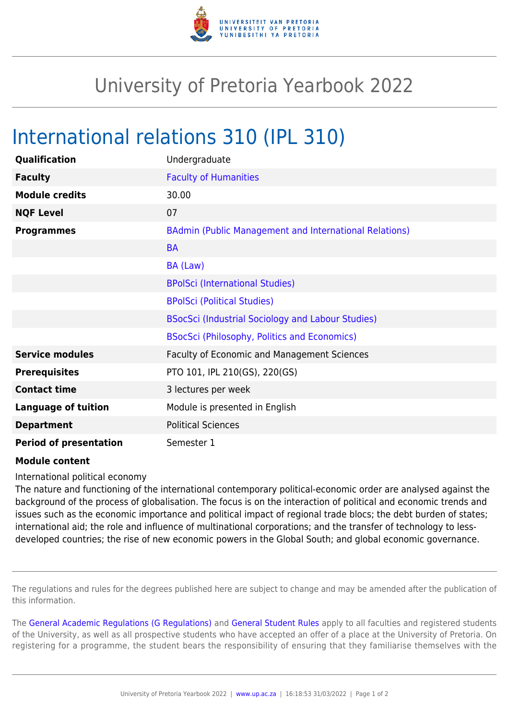

## University of Pretoria Yearbook 2022

## International relations 310 (IPL 310)

| Qualification                 | Undergraduate                                          |
|-------------------------------|--------------------------------------------------------|
| <b>Faculty</b>                | <b>Faculty of Humanities</b>                           |
| <b>Module credits</b>         | 30.00                                                  |
| <b>NQF Level</b>              | 07                                                     |
| <b>Programmes</b>             | BAdmin (Public Management and International Relations) |
|                               | <b>BA</b>                                              |
|                               | BA (Law)                                               |
|                               | <b>BPolSci (International Studies)</b>                 |
|                               | <b>BPolSci (Political Studies)</b>                     |
|                               | BSocSci (Industrial Sociology and Labour Studies)      |
|                               | <b>BSocSci (Philosophy, Politics and Economics)</b>    |
| <b>Service modules</b>        | Faculty of Economic and Management Sciences            |
| <b>Prerequisites</b>          | PTO 101, IPL 210(GS), 220(GS)                          |
| <b>Contact time</b>           | 3 lectures per week                                    |
| <b>Language of tuition</b>    | Module is presented in English                         |
| <b>Department</b>             | <b>Political Sciences</b>                              |
| <b>Period of presentation</b> | Semester 1                                             |

## **Module content**

International political economy

The nature and functioning of the international contemporary political-economic order are analysed against the background of the process of globalisation. The focus is on the interaction of political and economic trends and issues such as the economic importance and political impact of regional trade blocs; the debt burden of states; international aid; the role and influence of multinational corporations; and the transfer of technology to lessdeveloped countries; the rise of new economic powers in the Global South; and global economic governance.

The regulations and rules for the degrees published here are subject to change and may be amended after the publication of this information.

The [General Academic Regulations \(G Regulations\)](https://www.up.ac.za/yearbooks/2022/rules/view/REG) and [General Student Rules](https://www.up.ac.za/yearbooks/2022/rules/view/RUL) apply to all faculties and registered students of the University, as well as all prospective students who have accepted an offer of a place at the University of Pretoria. On registering for a programme, the student bears the responsibility of ensuring that they familiarise themselves with the